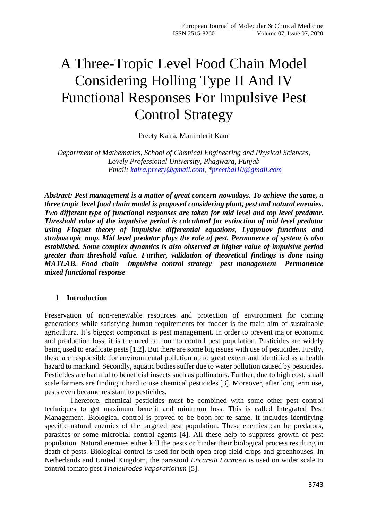# A Three-Tropic Level Food Chain Model Considering Holling Type II And IV Functional Responses For Impulsive Pest Control Strategy

Preety Kalra, Maninderit Kaur

*Department of Mathematics, School of Chemical Engineering and Physical Sciences, Lovely Professional University, Phagwara, Punjab Email: [kalra.preety@gmail.com,](mailto:kalra.preety@gmail.com) [\\*preetbal10@gmail.com](mailto:preetbal10@gmail.com)*

*Abstract: Pest management is a matter of great concern nowadays. To achieve the same, a three tropic level food chain model is proposed considering plant, pest and natural enemies. Two different type of functional responses are taken for mid level and top level predator. Threshold value of the impulsive period is calculated for extinction of mid level predator using Floquet theory of impulsive differential equations, Lyapnuov functions and stroboscopic map. Mid level predator plays the role of pest. Permanence of system is also established. Some complex dynamics is also observed at higher value of impulsive period greater than threshold value. Further, validation of theoretical findings is done using MATLAB. Food chain Impulsive control strategy pest management Permanence mixed functional response* 

## **1 Introduction**

Preservation of non-renewable resources and protection of environment for coming generations while satisfying human requirements for fodder is the main aim of sustainable agriculture. It's biggest component is pest management. In order to prevent major economic and production loss, it is the need of hour to control pest population. Pesticides are widely being used to eradicate pests [1,2]. But there are some big issues with use of pesticides. Firstly, these are responsible for environmental pollution up to great extent and identified as a health hazard to mankind. Secondly, aquatic bodies suffer due to water pollution caused by pesticides. Pesticides are harmful to beneficial insects such as pollinators. Further, due to high cost, small scale farmers are finding it hard to use chemical pesticides [3]. Moreover, after long term use, pests even became resistant to pesticides.

Therefore, chemical pesticides must be combined with some other pest control techniques to get maximum benefit and minimum loss. This is called Integrated Pest Management. Biological control is proved to be boon for te same. It includes identifying specific natural enemies of the targeted pest population. These enemies can be predators, parasites or some microbial control agents [4]. All these help to suppress growth of pest population. Natural enemies either kill the pests or hinder their biological process resulting in death of pests. Biological control is used for both open crop field crops and greenhouses. In Netherlands and United Kingdom, the parastoid *Encarsia Formosa* is used on wider scale to control tomato pest *Trialeurodes Vaporariorum* [5].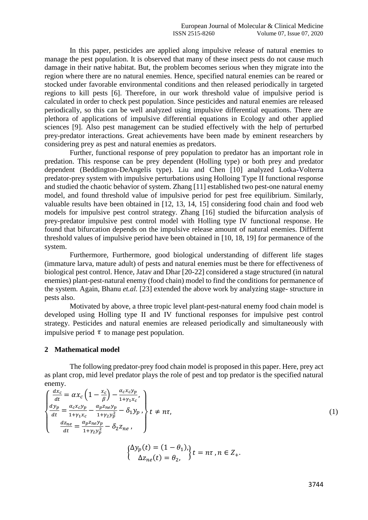In this paper, pesticides are applied along impulsive release of natural enemies to manage the pest population. It is observed that many of these insect pests do not cause much damage in their native habitat. But, the problem becomes serious when they migrate into the region where there are no natural enemies. Hence, specified natural enemies can be reared or stocked under favorable environmental conditions and then released periodically in targeted regions to kill pests [6]. Therefore, in our work threshold value of impulsive period is calculated in order to check pest population. Since pesticides and natural enemies are released periodically, so this can be well analyzed using impulsive differential equations. There are plethora of applications of impulsive differential equations in Ecology and other applied sciences [9]. Also pest management can be studied effectively with the help of perturbed prey-predator interactions. Great achievements have been made by eminent researchers by considering prey as pest and natural enemies as predators.

Further, functional response of prey population to predator has an important role in predation. This response can be prey dependent (Holling type) or both prey and predator dependent (Beddington-DeAngelis type). Liu and Chen [10] analyzed Lotka-Volterra predator-prey system with impulsive perturbations using Holloing Type II functional response and studied the chaotic behavior of system. Zhang [11] established two pest-one natural enemy model, and found threshold value of impulsive period for pest free equilibrium. Similarly, valuable results have been obtained in [12, 13, 14, 15] considering food chain and food web models for impulsive pest control strategy. Zhang [16] studied the bifurcation analysis of prey-predator impulsive pest control model with Holling type IV functional response. He found that bifurcation depends on the impulsive release amount of natural enemies. Differnt threshold values of impulsive period have been obtained in [10, 18, 19] for permanence of the system.

Furthermore, Furthermore, good biological understanding of different life stages (immature larva, mature adult) of pests and natural enemies must be there for effectiveness of biological pest control. Hence, Jatav and Dhar [20-22] considered a stage structured (in natural enemies) plant-pest-natural enemy (food chain) model to find the conditions for permanence of the system. Again, Bhanu *et.al.* [23] extended the above work by analyzing stage- structure in pests also.

Motivated by above, a three tropic level plant-pest-natural enemy food chain model is developed using Holling type II and IV functional responses for impulsive pest control strategy. Pesticides and natural enemies are released periodically and simultaneously with impulsive period  $\tau$  to manage pest population.

# **2 Mathematical model**

The following predator-prey food chain model is proposed in this paper. Here, prey act as plant crop, mid level predator plays the role of pest and top predator is the specified natural enemy.

$$
\begin{cases}\n\frac{dx_c}{dt} = \alpha x_c \left( 1 - \frac{x_c}{\beta} \right) - \frac{\alpha_c x_c y_p}{1 + \gamma_1 x_c}, \\
\frac{dy_p}{dt} = \frac{\alpha_c x_c y_p}{1 + \gamma_1 x_c} - \frac{\alpha_p z_{ne} y_p}{1 + \gamma_2 y_p^2} - \delta_1 y_p, \\
\frac{dz_{ne}}{dt} = \frac{\alpha_p z_{ne} y_p}{1 + \gamma_2 y_p^2} - \delta_2 z_{ne},\n\end{cases}
$$
\n
$$
\begin{cases}\n\Delta y_p(t) = (1 - \theta_1), \\
\Delta z_{ne}(t) = \theta_2, \n\end{cases}
$$
\n
$$
(1)
$$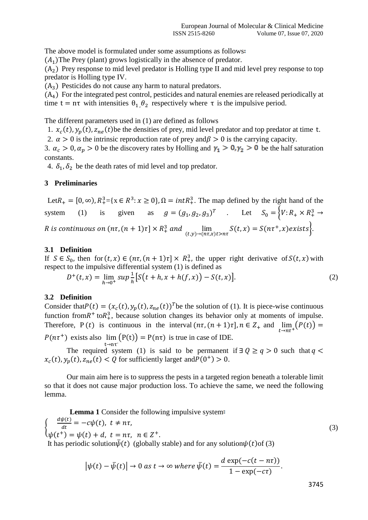The above model is formulated under some assumptions as follows

 $(A_1)$ The Prey (plant) grows logistically in the absence of predator.

 $(A<sub>2</sub>)$  Prey response to mid level predator is Holling type II and mid level prey response to top predator is Holling type IV.

 $(A_3)$  Pesticides do not cause any harm to natural predators.

 $(A_4)$  For the integrated pest control, pesticides and natural enemies are released periodically at time  $t = n\tau$  with intensities  $\theta_1$ ,  $\theta_2$  respectively where  $\tau$  is the impulsive period.

The different parameters used in (1) are defined as follows

1.  $x_c(t)$ ,  $y_p(t)$ ,  $z_{ne}(t)$  be the densities of prey, mid level predator and top predator at time t.

2.  $\alpha > 0$  is the intrinsic reproduction rate of prey and  $\beta > 0$  is the carrying capacity.

3.  $\alpha_c > 0$ ,  $\alpha_p > 0$  be the discovery rates by Holling and  $\gamma_1 > 0$ ,  $\gamma_2 > 0$  be the half saturation constants.

4.  $\delta_1$ ,  $\delta_2$  be the death rates of mid level and top predator.

## **3 Preliminaries**

Let  $R_+ = [0, \infty)$ ,  $R_+^3 = \{x \in \mathbb{R}^3 : x \ge 0\}$ ,  $\Omega = int \mathbb{R}_+^3$ . The map defined by the right hand of the system (1) is given as  $g = (g_1, g_2, g_3)^T$  . Let  $S_0 = \{V : R_+ \times R_+^3 \rightarrow$ R is continuous on  $(n\tau, (n+1)\tau] \times R^3_+$  and  $\lim\limits_{(t,y)\to (n\tau,x)t>n\tau} S(t,x) = S(n\tau^+,x)$ exists $\Big\}.$ 

# **3.1 Definition**

If  $S \in S_0$ , then for  $(t, x) \in (n\tau, (n + 1)\tau] \times R_+^3$ , the upper right derivative of  $S(t, x)$  with respect to the impulsive differential system (1) is defined as

$$
D^{+}(t,x) = \lim_{h \to 0^{+}} \sup \frac{1}{h} \big[ S(t+h,x+h(f,x)) - S(t,x) \big].
$$
 (2)

# **3.2 Definition**

Consider that  $P(t) = (x_c(t), y_p(t), z_{ne}(t))^T$  be the solution of (1). It is piece-wise continuous function from  $R^+$  to  $R^3$ , because solution changes its behavior only at moments of impulse. Therefore, P(t) is continuous in the interval  $(n\tau, (n+1)\tau]$ ,  $n \in Z_+$  and  $\lim_{t \to n\tau^+} (P(t)) =$  $P(n\tau^+)$  exists also  $\lim_{t \to n\tau^-} (P(t)) = P(n\tau)$  is true in case of IDE.

t→nτ The required system (1) is said to be permanent if  $\exists Q \ge q > 0$  such that  $q <$  $x_c(t)$ ,  $y_p(t)$ ,  $z_{ne}(t) < Q$  for sufficiently larget and  $P(0^+) > 0$ .

Our main aim here is to suppress the pests in a targeted region beneath a tolerable limit so that it does not cause major production loss. To achieve the same, we need the following lemma.

Lemma 1 Consider the following impulsive system:

$$
\begin{cases}\n\frac{d\psi(t)}{dt} = -c\psi(t), \ t \neq n\tau, \\
\psi(t^+) = \psi(t) + d, \ t = n\tau, \ n \in \mathbb{Z}^+.\n\end{cases} \tag{3}
$$

It has periodic solution $\psi(t)$  (globally stable) and for any solution $\psi(t)$  of (3)

$$
\left|\psi(t)-\bar{\psi}(t)\right|\to 0 \text{ as } t\to\infty \text{ where } \bar{\psi}(t)=\frac{d\exp(-c(t-n\tau))}{1-\exp(-c\tau)}.
$$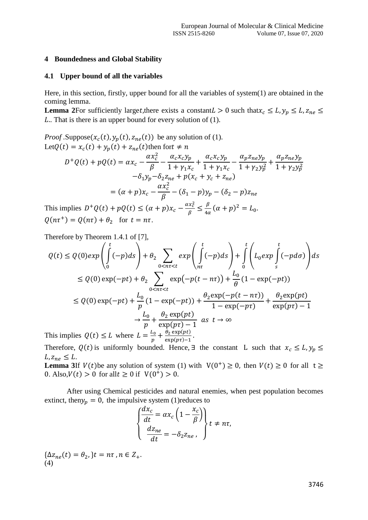### **4 Boundedness and Global Stability**

#### **4.1 Upper bound of all the variables**

Here, in this section, firstly, upper bound for all the variables of system(1) are obtained in the coming lemma.

**Lemma 2**For sufficiently larget, there exists a constant  $L > 0$  such that  $x_c \leq L$ ,  $y_n \leq L$ ,  $z_{ne} \leq L$ L.. That is there is an upper bound for every solution of (1).

*Proof* . Suppose( $x_c(t)$ ,  $y_p(t)$ ,  $z_{ne}(t)$ ) be any solution of (1). Let $Q(t) = x_c(t) + y_p(t) + z_{ne}(t)$ then for $t \neq n$ 

$$
D^{+}Q(t) + pQ(t) = \alpha x_{c} - \frac{\alpha x_{c}^{2}}{\beta} - \frac{\alpha_{c}x_{c}y_{p}}{1 + \gamma_{1}x_{c}} + \frac{\alpha_{c}x_{c}y_{p}}{1 + \gamma_{1}x_{c}} - \frac{\alpha_{p}z_{ne}y_{p}}{1 + \gamma_{2}y_{p}^{2}} + \frac{\alpha_{p}z_{ne}y_{p}}{1 + \gamma_{2}y_{p}^{2}}
$$

$$
- \delta_{1}y_{p} - \delta_{2}z_{ne} + p(x_{c} + y_{c} + z_{ne})
$$

$$
= (\alpha + p)x_{c} - \frac{\alpha x_{c}^{2}}{\beta} - (\delta_{1} - p)y_{p} - (\delta_{2} - p)z_{ne}
$$

This implies  $D^+Q(t) + pQ(t) \leq (\alpha + p)x_c - \frac{\alpha x_c^2}{\beta}$  $\frac{cx_c^2}{\beta} \leq \frac{\beta}{4\alpha}$  $\frac{\beta}{4\alpha}(\alpha+p)^2=L_0.$  $Q(n\tau^+) = Q(n\tau) + \theta_2$  for  $t = n\tau$ .

Therefore by Theorem 1.4.1 of [7],

$$
Q(t) \le Q(0) exp\left(\int_{0}^{t} (-p)ds\right) + \theta_{2} \sum_{0 < n\tau < t} exp\left(\int_{n\tau}^{t} (-p)ds\right) + \int_{0}^{t} \left(L_{0} exp\int_{s}^{t} (-p)d\sigma\right) ds
$$
  
\n
$$
\le Q(0) exp(-pt) + \theta_{2} \sum_{0 < n\tau < t} exp(-p(t - n\tau)) + \frac{L_{0}}{\theta} (1 - exp(-pt))
$$
  
\n
$$
\le Q(0) exp(-pt) + \frac{L_{0}}{p} (1 - exp(-pt)) + \frac{\theta_{2} exp(-p(t - n\tau))}{1 - exp(-p\tau)} + \frac{\theta_{2} exp(pt)}{exp(p\tau) - 1}
$$
  
\n
$$
\to \frac{L_{0}}{p} + \frac{\theta_{2} exp(pt)}{exp(p\tau) - 1} \text{ as } t \to \infty
$$
  
\nThis implies  $Q(t) \le L$  where  $L = \frac{L_{0}}{p} + \frac{\theta_{2} exp(pt)}{exp(p\tau) - 1}$ .

Therefore,  $Q(t)$  is uniformly bounded. Hence,  $\exists$  the constant L such that  $x_c \leq L$ ,  $y_n \leq L$  $L, z_{ne} \leq L.$ 

**Lemma 3**If  $V(t)$  be any solution of system (1) with  $V(0^+) \ge 0$ , then  $V(t) \ge 0$  for all  $t \ge 0$ 0. Also, $V(t) > 0$  for all  $t \ge 0$  if  $V(0^+) > 0$ .

After using Chemical pesticides and natural enemies, when pest population becomes extinct, then  $y_p = 0$ , the impulsive system (1) reduces to

$$
\begin{cases}\n\frac{dx_c}{dt} = \alpha x_c \left( 1 - \frac{x_c}{\beta} \right) \\
\frac{dz_{ne}}{dt} = -\delta_2 z_{ne} ,\n\end{cases} t \neq n\tau,
$$

 $\{\Delta z_{ne}(t)=\theta_2,\}t=n\tau$  ,  $n\in Z_+.$ (4)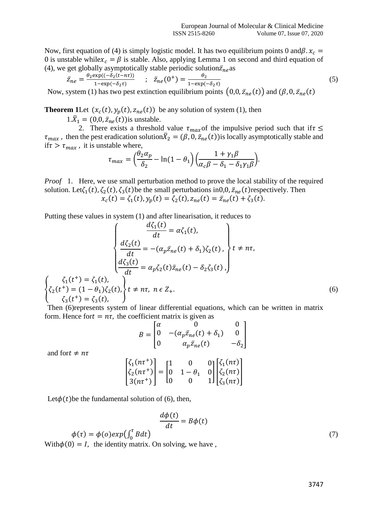Now, first equation of (4) is simply logistic model. It has two equilibrium points 0 and  $\beta$ .  $x_c$  = 0 is unstable while  $x_c = \beta$  is stable. Also, applying Lemma 1 on second and third equation of (4), we get globally asymptotically stable periodic solution $\bar{z}_{ne}$  as

$$
\bar{z}_{ne} = \frac{\theta_2 \exp((-\delta_2(t - n\tau))}{1 - \exp(-\delta_2\tau)} \qquad ; \quad \bar{z}_{ne}(0^+) = \frac{\theta_2}{1 - \exp(-\delta_2\tau)} \tag{5}
$$

Now, system (1) has two pest extinction equilibrium points  $(0,0,\bar{z}_{ne}(t))$  and  $(\beta,0,\bar{z}_{ne}(t))$ 

**Theorem 1** Let  $(x_c(t), y_p(t), z_{ne}(t))$  be any solution of system (1), then

 $1.\overline{X}_1 = (0,0,\overline{z}_{ne}(t))$  is unstable.

2. There exists a threshold value  $\tau_{max}$  of the impulsive period such that if  $\tau \leq$  $\tau_{max}$ , then the pest eradication solution $\bar{X}_2 = (\beta, 0, \bar{z}_{ne}(t))$  is locally asymptotically stable and if  $\tau > \tau_{max}$ , it is unstable where,

$$
\tau_{max} = \left(\frac{\theta_2 \alpha_p}{\delta_2} - \ln(1 - \theta_1)\right) \left(\frac{1 + \gamma_1 \beta}{\alpha_c \beta - \delta_1 - \delta_1 \gamma_1 \beta}\right).
$$

*Proof* 1. Here, we use small perturbation method to prove the local stability of the required solution. Let $\zeta_1(t)$ ,  $\zeta_2(t)$ ,  $\zeta_3(t)$  be the small perturbations in 0,0,  $\bar{z}_{ne}(t)$  respectively. Then  $x_c(t) = \zeta_1(t), y_p(t) = \zeta_2(t), z_{ne}(t) = \bar{z}_{ne}(t) + \zeta_3(t).$ 

Putting these values in system (1) and after linearisation, it reduces to

$$
\begin{cases}\n\frac{d\zeta_1(t)}{dt} = \alpha \zeta_1(t), \\
\frac{d\zeta_2(t)}{dt} = -(\alpha_p \bar{z}_{ne}(t) + \delta_1) \zeta_2(t), \\
\frac{d\zeta_3(t)}{dt} = \alpha_p \zeta_2(t) \bar{z}_{ne}(t) - \delta_2 \zeta_3(t),\n\end{cases} t \neq n\tau,
$$
\n
$$
\begin{cases}\n\zeta_1(t^+) = \zeta_1(t), \\
\zeta_2(t^+) = (1 - \theta_1) \zeta_2(t), \\
\zeta_3(t^+) = \zeta_3(t),\n\end{cases} t \neq n\tau, \quad n \in \mathbb{Z}_+.\n\tag{6}
$$

Then (6)represents system of linear differential equations, which can be written in matrix form. Hence for  $t = n\tau$ , the coefficient matrix is given as

$$
B = \begin{bmatrix} \alpha & 0 & 0 \\ 0 & -(\alpha_p \bar{z}_{ne}(t) + \delta_1) & 0 \\ 0 & \alpha_p \bar{z}_{ne}(t) & -\delta_2 \end{bmatrix}
$$
  
and for  $t \neq n\tau$ 
$$
\begin{bmatrix} \zeta_1(n\tau^+) \\ \zeta_2(n\tau^+) \\ 3(n\tau^+) \end{bmatrix} = \begin{bmatrix} 1 & 0 & 0 \\ 0 & 1 - \theta_1 & 0 \\ 0 & 0 & 1 \end{bmatrix} \begin{bmatrix} \zeta_1(n\tau) \\ \zeta_2(n\tau) \\ \zeta_3(n\tau) \end{bmatrix}
$$

Let  $\phi(t)$  be the fundamental solution of (6), then,

$$
\frac{d\phi(t)}{dt} = B\phi(t)
$$
\n
$$
\phi(\tau) = \phi(o)exp\left(\int_0^{\tau} Bdt\right)
$$
\n(7)

With $\phi(0) = I$ , the identity matrix. On solving, we have,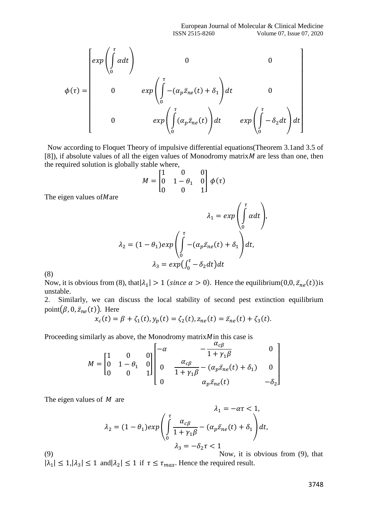$$
\phi(\tau) = \begin{bmatrix} exp\left(\int_0^{\tau} \alpha dt\right) & 0 & 0 \\ 0 & exp\left(\int_0^{\tau} -(\alpha_p \bar{z}_{ne}(t) + \delta_1) dt & 0 \\ 0 & exp\left(\int_0^{\tau} (\alpha_p \bar{z}_{ne}(t)) dt\right) dt & exp\left(\int_0^{\tau} -\delta_2 dt\right) dt \end{bmatrix}
$$

Now according to Floquet Theory of impulsive differential equations(Theorem 3.1and 3.5 of [8]), if absolute values of all the eigen values of Monodromy matrix *M* are less than one, then the required solution is globally stable where,

$$
M = \begin{bmatrix} 1 & 0 & 0 \\ 0 & 1 - \theta_1 & 0 \\ 0 & 0 & 1 \end{bmatrix} \phi(\tau)
$$

The eigen values of Mare

$$
\lambda_1 = exp\left(\int_0^{\tau} \alpha dt\right),
$$
  

$$
\lambda_2 = (1 - \theta_1) exp\left(\int_0^{\tau} -( \alpha_p \bar{z}_{ne}(t) + \delta_1) dt\right),
$$
  

$$
\lambda_3 = exp\left(\int_0^{\tau} - \delta_2 dt\right) dt
$$

(8)

Now, it is obvious from (8), that  $|\lambda_1| > 1$  (since  $\alpha > 0$ ). Hence the equilibrium  $(0, 0, \bar{z}_{ne}(t))$  is unstable.

2. Similarly, we can discuss the local stability of second pest extinction equilibrium point $(\beta, 0, \bar{z}_{ne}(t))$ . Here

$$
x_c(t) = \beta + \zeta_1(t), y_p(t) = \zeta_2(t), z_{ne}(t) = \bar{z}_{ne}(t) + \zeta_3(t).
$$

Proceeding similarly as above, the Monodromy matrix $M$ in this case is

$$
M = \begin{bmatrix} 1 & 0 & 0 \\ 0 & 1 - \theta_1 & 0 \\ 0 & 0 & 1 \end{bmatrix} \begin{bmatrix} -\alpha & -\frac{\alpha_{c\beta}}{1 + \gamma_1 \beta} & 0 \\ 0 & \frac{\alpha_{c\beta}}{1 + \gamma_1 \beta} - (\alpha_p \bar{z}_{ne}(t) + \delta_1) & 0 \\ 0 & \alpha_p \bar{z}_{ne}(t) & -\delta_2 \end{bmatrix}
$$

The eigen values of  $M$  are

$$
\lambda_1 = -\alpha \tau < 1,
$$
\n
$$
\lambda_2 = (1 - \theta_1) \exp\left(\int_0^\tau \frac{\alpha_{c\beta}}{1 + \gamma_1 \beta} - (\alpha_p \bar{z}_{ne}(t) + \delta_1) \right) dt,
$$
\n
$$
\lambda_3 = -\delta_2 \tau < 1
$$

 $(9)$  Now, it is obvious from  $(9)$ , that  $|\lambda_1| \leq 1, |\lambda_3| \leq 1$  and  $|\lambda_2| \leq 1$  if  $\tau \leq \tau_{max}$ . Hence the required result.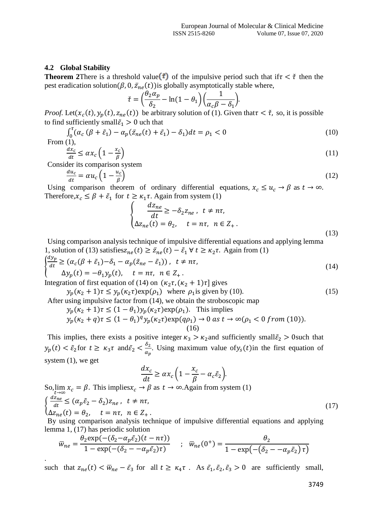#### **4.2 Global Stability**

**Theorem 2**There is a threshold value  $(\check{\tau})$  of the impulsive period such that if  $\tau < \check{\tau}$  then the pest eradication solution( $\beta$ , 0,  $\bar{z}_{ne}(t)$ ) is globally asymptotically stable where,

$$
\check{\tau} = \left(\frac{\theta_2 \alpha_p}{\delta_2} - \ln(1 - \theta_1)\right) \left(\frac{1}{\alpha_c \beta - \delta_1}\right).
$$

*Proof.* Let( $x_c(t)$ ,  $y_p(t)$ ,  $z_{ne}(t)$ ) be arbitrary solution of (1). Given that  $\tau < \tilde{t}$ , so, it is possible to find sufficiently small $\tilde{\varepsilon}_1 > 0$  uch that

$$
\int_0^{\tau} (\alpha_c (\beta + \tilde{\varepsilon}_1) - \alpha_p (\bar{z}_{ne}(t) + \tilde{\varepsilon}_1) - \delta_1) dt = \rho_1 < 0
$$
\n(10)

From (1),

.

$$
\frac{dx_c}{dt} \leq \alpha x_c \left(1 - \frac{x_c}{\beta}\right) \tag{11}
$$

Consider its comparison system

$$
\frac{du_c}{dt} = \alpha u_c \left( 1 - \frac{u_c}{\beta} \right) \tag{12}
$$

Using comparison theorem of ordinary differential equations,  $x_c \le u_c \rightarrow \beta$  as  $t \rightarrow \infty$ . Therefore,  $x_c \le \beta + \tilde{\varepsilon}_1$  for  $t \ge \kappa_1 \tau$ . Again from system (1)

$$
\begin{cases}\n\frac{dz_{ne}}{dt} \ge -\delta_2 z_{ne}, \quad t \neq n\tau, \\
\Delta z_{ne}(t) = \theta_2, \quad t = n\tau, \quad n \in Z_+.\n\end{cases}
$$
\n(13)

Using comparison analysis technique of impulsive differential equations and applying lemma 1, solution of (13) satisfies $z_{ne}(t) \ge \bar{z}_{ne}(t) - \tilde{\epsilon}_1 \ \forall \ t \ge \kappa_2 \tau$ . Again from (1)

$$
\begin{cases}\n\frac{dy_p}{dt} \geq (\alpha_c(\beta + \tilde{\varepsilon}_1) - \delta_1 - \alpha_p(\tilde{z}_{ne} - \tilde{\varepsilon}_1)), \quad t \neq n\tau, \\
\Delta y_p(t) = -\theta_1 y_p(t), \quad t = n\tau, \quad n \in Z_+.\n\end{cases}
$$
\n(14)

Integration of first equation of (14) on  $(\kappa_2 \tau, (\kappa_2 + 1)\tau)$  gives

 $y_p(\kappa_2 + 1)\tau \le y_p(\kappa_2 \tau) \exp(\rho_1)$  where  $\rho_1$  is given by (10). (15) After using impulsive factor from (14), we obtain the stroboscopic map

$$
y_p(\kappa_2 + 1)\tau \le (1 - \theta_1)y_p(\kappa_2 \tau) \exp(\rho_1).
$$
 This implies  

$$
y_p(\kappa_2 + q)\tau \le (1 - \theta_1)^q y_p(\kappa_2 \tau) \exp(q\rho_1) \to 0 \text{ as } t \to \infty (\rho_1 < 0 \text{ from (10)}).
$$
  
(16)

This implies, there exists a positive integer  $\kappa_3 > \kappa_2$  and sufficiently small $\tilde{\varepsilon}_2 > 0$  such that  $y_p(t) < \tilde{\varepsilon}_2$  for  $t \geq \kappa_3 \tau$  and  $\tilde{\varepsilon}_2 < \frac{\delta_2}{\alpha}$  $\frac{\partial z}{\partial x}$ . Using maximum value of  $y_s(t)$  in the first equation of system (1), we get

$$
\frac{dx_c}{dt} \geq \alpha x_c \left( 1 - \frac{x_c}{\beta} - \alpha_c \tilde{\varepsilon}_2 \right).
$$

So, 
$$
\lim_{t \to \infty} x_c = \beta
$$
. This implies  $x_c \to \beta$  as  $t \to \infty$ .  
\n
$$
\begin{cases}\n\frac{dz_{ne}}{dt} \leq (\alpha_p \tilde{\varepsilon}_2 - \delta_2) z_{ne}, & t \neq n\tau, \\
\Delta z_{ne}(t) = \theta_2, & t = n\tau, \ n \in Z_+\n\end{cases}
$$
\n(17)

By using comparison analysis technique of impulsive differential equations and applying lemma 1, (17) has periodic solution

$$
\overline{w}_{ne} = \frac{\theta_2 \exp(-( \delta_2 - \alpha_p \tilde{\varepsilon}_2)(t - n\tau))}{1 - \exp(-( \delta_2 - -\alpha_p \tilde{\varepsilon}_2)\tau)} \quad ; \quad \overline{w}_{ne}(0^+) = \frac{\theta_2}{1 - \exp(-( \delta_2 - -\alpha_p \tilde{\varepsilon}_2)\tau)}
$$

such that  $z_{ne}(t) < \overline{w}_{ne} - \tilde{\varepsilon}_3$  for all  $t \ge \kappa_4 \tau$ . As  $\tilde{\varepsilon}_1, \tilde{\varepsilon}_2, \tilde{\varepsilon}_3 > 0$  are sufficiently small,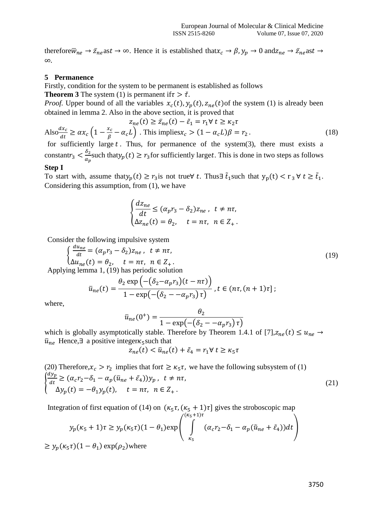therefore  $\overline{w}_{ne} \rightarrow \overline{z}_{ne}$  as  $t \rightarrow \infty$ . Hence it is established that  $x_c \rightarrow \beta$ ,  $y_p \rightarrow 0$  and  $z_{ne} \rightarrow \overline{z}_{ne}$  as  $t \rightarrow \infty$ . ∞.

## **5 Permanence**

Firstly, condition for the system to be permanent is established as follows **Theorem 3** The system (1) is permanent if  $\tau > \check{\tau}$ .

*Proof.* Upper bound of all the variables  $x_c(t)$ ,  $y_p(t)$ ,  $z_{ne}(t)$  of the system (1) is already been obtained in lemma 2. Also in the above section, it is proved that

$$
z_{ne}(t) \ge \bar{z}_{ne}(t) - \tilde{\epsilon}_1 = r_1 \forall t \ge \kappa_2 \tau
$$
  
Also  $\frac{dx_c}{dt} \ge \alpha x_c \left(1 - \frac{x_c}{\beta} - \alpha_c L\right)$ . This implies  $x_c > (1 - \alpha_c L)\beta = r_2$ . (18)

for sufficiently large  $t$ . Thus, for permanence of the system(3), there must exists a constant $r_3 < \frac{\delta_2}{\alpha}$  $\frac{\partial^2}{\partial x \partial y}$  such that  $y_p(t) \ge r_3$  for sufficiently larget. This is done in two steps as follows

# **Step I**

To start with, assume that  $y_p(t) \ge r_3$  is not true∀ t. Thus  $\tilde{t}_1$  such that  $y_p(t) < r_3 \forall t \ge \tilde{t}_1$ . Considering this assumption, from (1), we have

$$
\begin{cases}\n\frac{dz_{ne}}{dt} \leq (\alpha_p r_3 - \delta_2) z_{ne} , & t \neq n\tau, \\
\Delta z_{ne}(t) = \theta_2, & t = n\tau, \ n \in Z_+\n\end{cases}
$$

Consider the following impulsive system

$$
\begin{cases}\n\frac{du_{ne}}{dt} = (\alpha_p r_3 - \delta_2) z_{ne}, & t \neq n\tau, \\
\Delta u_{ne}(t) = \theta_2, & t = n\tau, \ n \in Z_+.\n\end{cases}
$$
\nApplying lemma 1, (19) has periodic solution

$$
\bar{u}_{ne}(t) = \frac{\theta_2 \exp\left(-(\delta_2 - \alpha_p r_3)(t - n\tau)\right)}{1 - \exp\left(-(\delta_2 - \alpha_p r_3)\tau\right)}, t \in (n\tau, (n+1)\tau];
$$

where,

$$
\bar{u}_{ne}(0^{+}) = \frac{\theta_{2}}{1 - \exp(-(\delta_{2} - -\alpha_{p}r_{3})\tau)}
$$

which is globally asymptotically stable. Therefore by Theorem 1.4.1 of [7], $z_{ne}(t) \leq u_{ne} \rightarrow$  $\bar{u}_{ne}$  Hence,∃ a positive integer $\kappa_5$ such that

$$
z_{ne}(t) < \bar{u}_{ne}(t) + \tilde{\varepsilon}_4 = r_1 \forall \ t \ge \kappa_5 \tau
$$

(20) Therefore,  $x_c > r_2$  implies that for  $t \ge \kappa_5 \tau$ , we have the following subsystem of (1) {  $\frac{dy_p}{x}$  $\frac{\partial^2 y_p}{\partial t^2} \geq (\alpha_c r_2 - \delta_1 - \alpha_p (\bar{u}_{ne} + \tilde{\varepsilon}_4)) y_p$ ,  $t \neq n\tau$ ,  $\Delta y_p(t) = -\theta_1 y_p(t), \quad t = n\tau, \ n \in Z_+.$ (21)

Integration of first equation of (14) on  $(\kappa_5 \tau, (\kappa_5 + 1)\tau]$  gives the stroboscopic map

$$
y_p(\kappa_5 + 1)\tau \ge y_p(\kappa_5 \tau)(1 - \theta_1) \exp\left(\int_{\kappa_5}^{(\kappa_5 + 1)\tau} (\alpha_c r_2 - \delta_1 - \alpha_p(\tilde{u}_{ne} + \tilde{\varepsilon}_4))dt\right)
$$
  

$$
\ge y_p(\kappa_5 \tau)(1 - \theta_1) \exp(\rho_2)
$$
 where

3750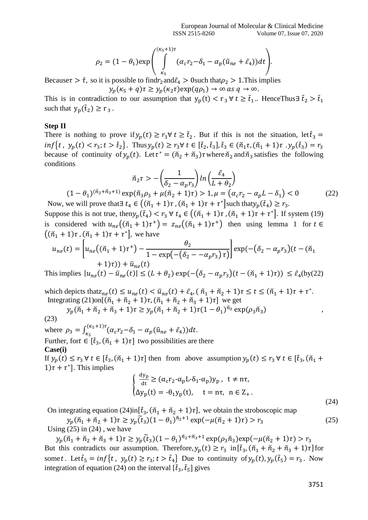$$
\rho_2 = (1 - \theta_1) \exp\left(\int\limits_{\kappa_5}^{(\kappa_5 + 1)\tau} (\alpha_c r_2 - \delta_1 - \alpha_p (\tilde{u}_{ne} + \tilde{\varepsilon}_4)) dt\right).
$$

Because  $\tau > \tilde{\tau}$ , so it is possible to find  $r_2$  and  $\tilde{\epsilon}_4 > 0$  such that  $\rho_2 > 1$ . This implies  $y_p(\kappa_5 + q)\tau \geq y_p(\kappa_2 \tau) \exp(q\rho_1) \to \infty \text{ as } q \to \infty.$ 

This is in contradiction to our assumption that  $y_p(t) < r_3 \forall t \geq \tilde{t}_1$ .. Hence Thus  $\tilde{t}_2 > \tilde{t}_1$ such that  $y_p(\tilde{t}_2) \ge r_3$ .

## **Step II**

There is nothing to prove if  $y_p(t) \ge r_3 \forall t \ge \tilde{t}_2$ . But if this is not the situation, let  $\tilde{t}_3 =$  $inf\{t, y_p(t) < r_3; t > \tilde{t}_2\}.$  Thus  $y_p(t) \ge r_3 \forall t \in [\tilde{t}_2, \tilde{t}_3], \tilde{t}_3 \in (\tilde{n}_1 \tau, (\tilde{n}_1 + 1) \tau, y_p(\tilde{t}_3) = r_3 \tau \}$ because of continuity of  $y_p(t)$ . Let  $\tau^* = (\check{n}_2 + \check{n}_3)\tau$  where  $\check{n}_2$  and  $\check{n}_3$  satisfies the following conditions

$$
\breve{n}_2 \tau > -\left(\frac{1}{\delta_2 - \alpha_p r_3}\right) \ln\left(\frac{\tilde{\varepsilon}_4}{L + \theta_2}\right)
$$

$$
\ln(\breve{n}_2 \rho_2 + \mu(\breve{n}_2 + 1)\tau) > 1, \quad \mu = (\alpha - \mu_2)\tau
$$

 $(1 - \theta_1)^{(\check{n}_2 + \check{n}_3 + 1)} \exp(\check{n}_3 \rho_3 + \mu(\check{n}_2 + 1)\tau) > 1, \mu = (\alpha_c r_2 - \alpha_p L - \delta_1) < 0$  (22) Now, we will prove that  $t_4 \in ((\check{n}_1 + 1)\tau, (\check{n}_1 + 1)\tau + \tau^*]$  such that  $y_p(\tilde{t}_4) \geq r_3$ .

Suppose this is not true, then  $y_p(\tilde{t}_4) < r_3 \forall t_4 \in ((\tilde{n}_1 + 1)\tau, (\tilde{n}_1 + 1)\tau + \tau^*]$ . If system (19) is considered with  $u_{ne}((\check{n}_1 + 1)\tau^+) = z_{ne}((\check{n}_1 + 1)\tau^+)$  then using lemma 1 for  $t \in$  $((\check{n}_1 + 1)\tau, (\check{n}_1 + 1)\tau + \tau^*]$ , we have

$$
u_{ne}(t) = \left[u_{ne}((\check{n}_1 + 1)\tau^+) - \frac{\theta_2}{1 - \exp\left(-(\delta_2 - \alpha_p r_3)\tau\right)}\right] \exp\left(-(\delta_2 - \alpha_p r_3\right)(t - (\check{n}_1 + 1)\tau)\right) + \bar{u}_{ne}(t)
$$
  
This implies  $|u_{ne}(t) - \bar{u}_{ne}(t)| \le (L + \theta_2) \exp\left(-(\delta_2 - \alpha_p r_3\right)(t - (\check{n}_1 + 1)\tau)\right) \le \tilde{\varepsilon}_4(\text{by}(22))$ 

which depicts that  $z_{ne}(t) \le u_{ne}(t) < \bar{u}_{ne}(t) + \tilde{\varepsilon}_4$ ,  $(\tilde{n}_1 + \tilde{n}_2 + 1)\tau \le t \le (\tilde{n}_1 + 1)\tau + \tau^*$ . Integrating  $(21)$ on $[(\check{n}_1 + \check{n}_2 + 1)\tau, (\check{n}_1 + \check{n}_2 + \check{n}_3 + 1)\tau]$  we get

 $y_p(\check{n}_1 + \check{n}_2 + \check{n}_3 + 1)\tau \ge y_p(\check{n}_1 + \check{n}_2 + 1)\tau(1 - \theta_1)^{\check{n}_3} \exp(\rho_3 \check{n}_3)$  $)$ ,

(23)

where  $\rho_3 = \int_{\kappa_5}^{(\kappa_5 + 1)\tau} (\alpha_c r_2 - \delta_1 - \alpha_p (\tilde{u}_{ne} + \tilde{\varepsilon}_4)) dt$ . Further, for  $t \in [\tilde{t}_3, (\tilde{n}_1 + 1)\tau]$  two possibilities are there **Case(i)**

If  $y_p(t) \le r_3 \forall t \in [\tilde{t}_3, (\tilde{n}_1 + 1)\tau]$  then from above assumption  $y_p(t) \le r_3 \forall t \in [\tilde{t}_3, (\tilde{n}_1 +$  $1)\tau + \tau^*$ . This implies

$$
\begin{cases}\n\frac{dy_p}{dt} \geq (\alpha_c r_2 - \alpha_p L - \delta_1 - \alpha_p) y_p, & t \neq n\tau, \\
\Delta y_p(t) = -\theta_1 y_p(t), & t = n\tau, \quad n \in \mathbb{Z}_+.\n\end{cases}
$$
\n(24)

On integrating equation (24)in[ $\tilde{t}_3$ ,  $(\tilde{n}_1 + \tilde{n}_2 + 1)\tau$ ], we obtain the stroboscopic map

 $y_p(\check{n}_1 + \check{n}_2 + 1)\tau \ge y_p(\check{t}_3)(1 - \theta_1)^{\check{n}_2 + 1} \exp(-\mu(\check{n}_2 + 1)\tau) > r_3$  (25) Using  $(25)$  in  $(24)$ , we have

 $y_p(\check{n}_1 + \check{n}_2 + \check{n}_3 + 1)\tau \ge y_p(\check{t}_3)(1 - \theta_1)^{\check{n}_2 + \check{n}_3 + 1} \exp(\rho_3 \check{n}_3) \exp(-\mu(\check{n}_2 + 1)\tau) > r_3$ But this contradicts our assumption. Therefore,  $y_p(t) \ge r_3$  in  $[\tilde{t}_3, (\tilde{n}_1 + \tilde{n}_2 + \tilde{n}_3 + 1)\tau]$  for some t. Let  $\tilde{t}_5 = inf\{t, y_p(t) \ge r_3; t > \tilde{t}_4\}$  Due to continuity of  $y_p(t), y_p(\tilde{t}_5) = r_3$ . Now integration of equation (24) on the interval  $[\tilde{t}_3, \tilde{t}_5]$  gives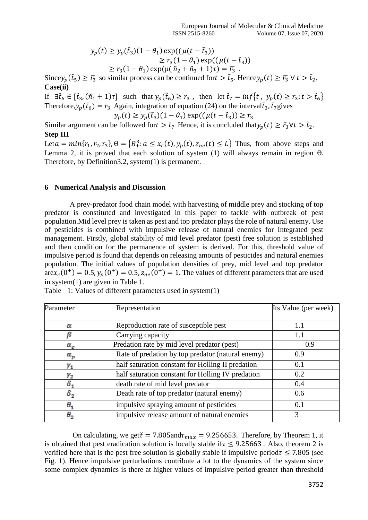$$
y_p(t) \ge y_p(\tilde{t}_3)(1 - \theta_1) \exp((\mu(t - \tilde{t}_3))
$$
  
\n
$$
\ge r_3(1 - \theta_1) \exp((\mu(t - \tilde{t}_3)))
$$
  
\n
$$
\ge r_3(1 - \theta_1) \exp(\mu(\tilde{n}_2 + \tilde{n}_3 + 1)\tau) = \bar{r}_3.
$$

Since  $y_p(\tilde{t}_5) \ge \bar{r}_3$  so similar process can be continued for  $t > \tilde{t}_5$ . Hence  $y_p(t) \ge \bar{r}_3 \forall t > \tilde{t}_2$ . **Case(ii)**

If  $\exists \tilde{t}_6 \in [\tilde{t}_3, (\tilde{n}_1 + 1)\tau]$  such that  $y_p(\tilde{t}_6) \ge r_3$ , then let  $\tilde{t}_7 = inf\{t, y_p(t) \ge r_3; t > \tilde{t}_6\}$ Therefore,  $y_p(\tilde{t}_6) = r_3$  Again, integration of equation (24) on the interval $\tilde{t}_3$ ,  $\tilde{t}_7$  gives

$$
y_p(t) \ge y_p(\tilde{t}_3)(1 - \theta_1) \exp((\mu(t - \tilde{t}_3)) \ge \bar{r}_3)
$$

Similar argument can be followed fort  $> \tilde{t}_7$  Hence, it is concluded that  $y_p(t) \geq \bar{r}_3 \forall t > \tilde{t}_2$ . **Step III**

Let  $a = min\{r_1, r_2, r_3\}, \theta = \{R_+^3 : a \le x_c(t), y_p(t), z_{ne}(t) \le L\}$  Thus, from above steps and Lemma 2, it is proved that each solution of system (1) will always remain in region Ѳ. Therefore, by Definition3.2, system(1) is permanent.

#### **6 Numerical Analysis and Discussion**

A prey-predator food chain model with harvesting of middle prey and stocking of top predator is constituted and investigated in this paper to tackle with outbreak of pest population.Mid level prey is taken as pest and top predator plays the role of natural enemy. Use of pesticides is combined with impulsive release of natural enemies for Integrated pest management. Firstly, global stability of mid level predator (pest) free solution is established and then condition for the permanence of system is derived. For this, threshold value of impulsive period is found that depends on releasing amounts of pesticides and natural enemies population. The initial values of population densities of prey, mid level and top predator  $\arex_{c}(0^{+}) = 0.5, y_{p}(0^{+}) = 0.5, z_{ne}(0^{+}) = 1$ . The values of different parameters that are used in system(1) are given in Table 1.

| Parameter                  | Representation                                    | Its Value (per week) |
|----------------------------|---------------------------------------------------|----------------------|
| α                          | Reproduction rate of susceptible pest             | 1.1                  |
| ß                          | Carrying capacity                                 | 1.1                  |
| $\alpha_c$                 | Predation rate by mid level predator (pest)       | 0.9                  |
| $\alpha_p$                 | Rate of predation by top predator (natural enemy) | 0.9                  |
| $\scriptstyle{\gamma_{1}}$ | half saturation constant for Holling II predation | 0.1                  |
| γ2                         | half saturation constant for Holling IV predation | 0.2                  |
| $\delta_1$                 | death rate of mid level predator                  | 0.4                  |
| $\delta_2$                 | Death rate of top predator (natural enemy)        | 0.6                  |
| $\theta_{1}$               | impulsive spraying amount of pesticides           | 0.1                  |
| $\theta_{2}$               | impulsive release amount of natural enemies       | 3                    |

Table 1: Values of different parameters used in system(1)

On calculating, we get $\check{\tau} = 7.805$ and $\tau_{max} = 9.256653$ . Therefore, by Theorem 1, it is obtained that pest eradication solution is locally stable if  $\tau \leq 9.25663$ . Also, theorem 2 is verified here that is the pest free solution is globally stable if impulsive period  $\tau \leq 7.805$  (see Fig. 1). Hence impulsive perturbations contribute a lot to the dynamics of the system since some complex dynamics is there at higher values of impulsive period greater than threshold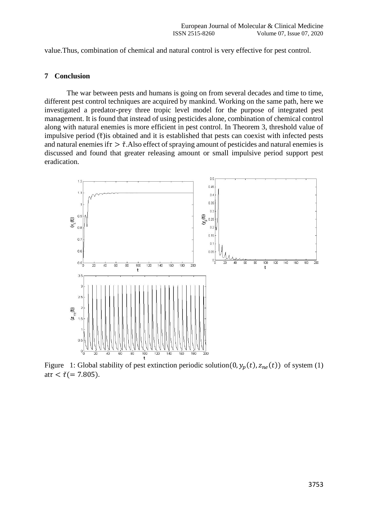value.Thus, combination of chemical and natural control is very effective for pest control.

## **7 Conclusion**

The war between pests and humans is going on from several decades and time to time, different pest control techniques are acquired by mankind. Working on the same path, here we investigated a predator-prey three tropic level model for the purpose of integrated pest management. It is found that instead of using pesticides alone, combination of chemical control along with natural enemies is more efficient in pest control. In Theorem 3, threshold value of impulsive period (τ) is obtained and it is established that pests can coexist with infected pests and natural enemies if  $\tau > \tilde{\tau}$ . Also effect of spraying amount of pesticides and natural enemies is discussed and found that greater releasing amount or small impulsive period support pest eradication.



Figure 1: Global stability of pest extinction periodic solution(0,  $y_p(t)$ ,  $z_{ne}(t)$ ) of system (1) at $\tau < \check{\tau} (= 7.805)$ .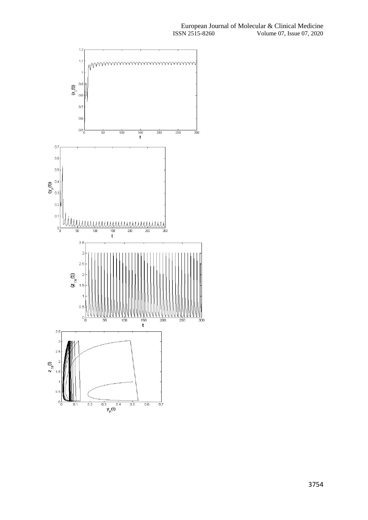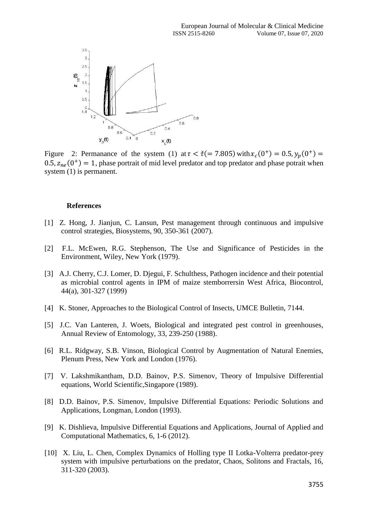

Figure 2: Permanance of the system (1) at  $\tau < \tilde{\tau}$  (= 7.805) with  $x_c(0^+) = 0.5$ ,  $y_p(0^+) =$ 0.5,  $z_{ne}(0^{+}) = 1$ , phase portrait of mid level predator and top predator and phase potrait when system  $(1)$  is permanent.

## **References**

- [1] Z. Hong, J. Jianjun, C. Lansun, Pest management through continuous and impulsive control strategies, Biosystems, 90, 350-361 (2007).
- [2] F.L. McEwen, R.G. Stephenson, The Use and Significance of Pesticides in the Environment, Wiley, New York (1979).
- [3] A.J. Cherry, C.J. Lomer, D. Djegui, F. Schulthess, Pathogen incidence and their potential as microbial control agents in IPM of maize stemborrersin West Africa, Biocontrol, 44(a), 301-327 (1999)
- [4] K. Stoner, Approaches to the Biological Control of Insects, UMCE Bulletin, 7144.
- [5] J.C. Van Lanteren, J. Woets, Biological and integrated pest control in greenhouses, Annual Review of Entomology, 33, 239-250 (1988).
- [6] R.L. Ridgway, S.B. Vinson, Biological Control by Augmentation of Natural Enemies, Plenum Press, New York and London (1976).
- [7] V. Lakshmikantham, D.D. Bainov, P.S. Simenov, Theory of Impulsive Differential equations, World Scientific,Singapore (1989).
- [8] D.D. Bainov, P.S. Simenov, Impulsive Differential Equations: Periodic Solutions and Applications, Longman, London (1993).
- [9] K. Dishlieva, Impulsive Differential Equations and Applications, Journal of Applied and Computational Mathematics, 6, 1-6 (2012).
- [10] X. Liu, L. Chen, Complex Dynamics of Holling type II Lotka-Volterra predator-prey system with impulsive perturbations on the predator, Chaos, Solitons and Fractals, 16, 311-320 (2003).